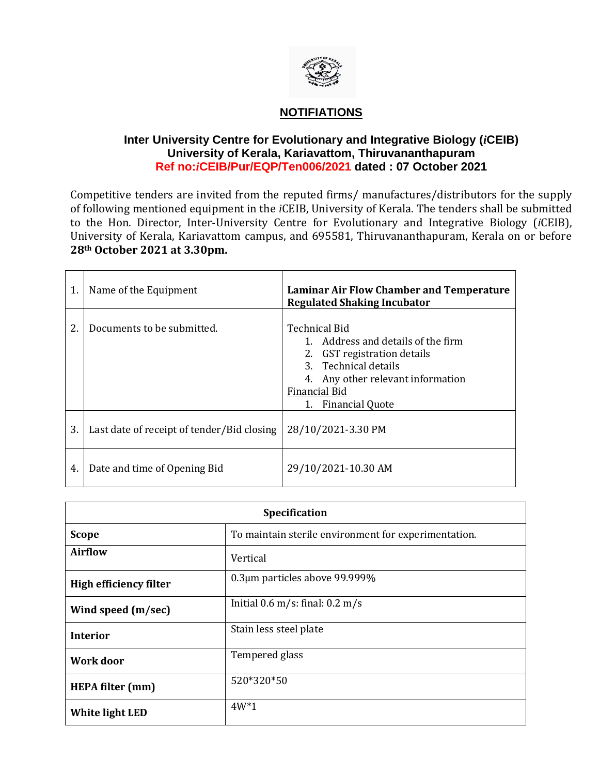

## **NOTIFIATIONS**

## **Inter University Centre for Evolutionary and Integrative Biology (***i***CEIB) University of Kerala, Kariavattom, Thiruvananthapuram Ref no:***i***CEIB/Pur/EQP/Ten006/2021 dated : 07 October 2021**

Competitive tenders are invited from the reputed firms/ manufactures/distributors for the supply of following mentioned equipment in the *i*CEIB, University of Kerala. The tenders shall be submitted to the Hon. Director, Inter-University Centre for Evolutionary and Integrative Biology (*i*CEIB), University of Kerala, Kariavattom campus, and 695581, Thiruvananthapuram, Kerala on or before **28th October 2021 at 3.30pm.**

| 1. | Name of the Equipment                      | <b>Laminar Air Flow Chamber and Temperature</b><br><b>Regulated Shaking Incubator</b>                                                                                                                |
|----|--------------------------------------------|------------------------------------------------------------------------------------------------------------------------------------------------------------------------------------------------------|
| 2. | Documents to be submitted.                 | <b>Technical Bid</b><br>1. Address and details of the firm<br>2. GST registration details<br>3. Technical details<br>Any other relevant information<br>Financial Bid<br><b>Financial Quote</b><br>1. |
| 3. | Last date of receipt of tender/Bid closing | 28/10/2021-3.30 PM                                                                                                                                                                                   |
| 4. | Date and time of Opening Bid               | 29/10/2021-10.30 AM                                                                                                                                                                                  |

| Specification                 |                                                      |  |
|-------------------------------|------------------------------------------------------|--|
| <b>Scope</b>                  | To maintain sterile environment for experimentation. |  |
| <b>Airflow</b>                | Vertical                                             |  |
| <b>High efficiency filter</b> | 0.3µm particles above 99.999%                        |  |
| Wind speed (m/sec)            | Initial $0.6$ m/s: final: $0.2$ m/s                  |  |
| <b>Interior</b>               | Stain less steel plate                               |  |
| <b>Work door</b>              | Tempered glass                                       |  |
| <b>HEPA filter (mm)</b>       | 520*320*50                                           |  |
| White light LED               | $4W*1$                                               |  |